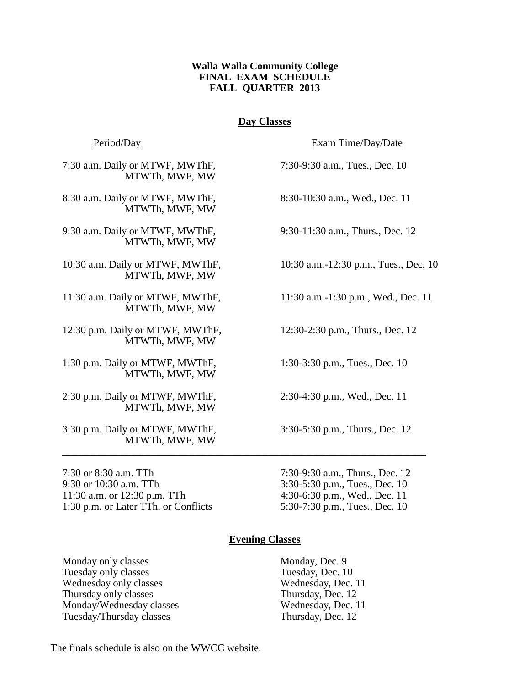# **Walla Walla Community College FINAL EXAM SCHEDULE FALL QUARTER 2013**

# **Day Classes**

Period/Day Exam Time/Day/Date

7:30 a.m. Daily or MTWF, MWThF, 7:30-9:30 a.m., Tues., Dec. 10 MTWTh, MWF, MW

8:30 a.m. Daily or MTWF, MWThF, 8:30-10:30 a.m., Wed., Dec. 11 MTWTh, MWF, MW

9:30 a.m. Daily or MTWF, MWThF, 9:30-11:30 a.m., Thurs., Dec. 12 MTWTh, MWF, MW

MTWTh, MWF, MW

11:30 a.m. Daily or MTWF, MWThF, 11:30 a.m.-1:30 p.m., Wed., Dec. 11 MTWTh, MWF, MW

12:30 p.m. Daily or MTWF, MWThF, 12:30-2:30 p.m., Thurs., Dec. 12 MTWTh, MWF, MW

1:30 p.m. Daily or MTWF, MWThF, 1:30-3:30 p.m., Tues., Dec. 10 MTWTh, MWF, MW

2:30 p.m. Daily or MTWF, MWThF, 2:30-4:30 p.m., Wed., Dec. 11 MTWTh, MWF, MW

3:30 p.m. Daily or MTWF, MWThF, 3:30-5:30 p.m., Thurs., Dec. 12 MTWTh, MWF, MW

7:30 or 8:30 a.m. TTh 7:30-9:30 a.m., Thurs., Dec. 12 9:30 or 10:30 a.m. TTh 3:30-5:30 p.m., Tues., Dec. 10 11:30 a.m. or 12:30 p.m. TTh 4:30-6:30 p.m., Wed., Dec. 11 1:30 p.m. or Later TTh, or Conflicts 5:30-7:30 p.m., Tues., Dec. 10

10:30 a.m. Daily or MTWF, MWThF, 10:30 a.m.-12:30 p.m., Tues., Dec. 10

# **Evening Classes**

\_\_\_\_\_\_\_\_\_\_\_\_\_\_\_\_\_\_\_\_\_\_\_\_\_\_\_\_\_\_\_\_\_\_\_\_\_\_\_\_\_\_\_\_\_\_\_\_\_\_\_\_\_\_\_\_\_\_\_\_\_\_\_\_\_\_\_\_\_\_

Monday only classes Monday, Dec. 9 Tuesday only classes Tuesday, Dec. 10 Wednesday only classes Wednesday, Dec. 11 Thursday only classes Thursday, Dec. 12 Monday/Wednesday classes Wednesday, Dec. 11 Tuesday/Thursday classes Thursday, Dec. 12

The finals schedule is also on the WWCC website.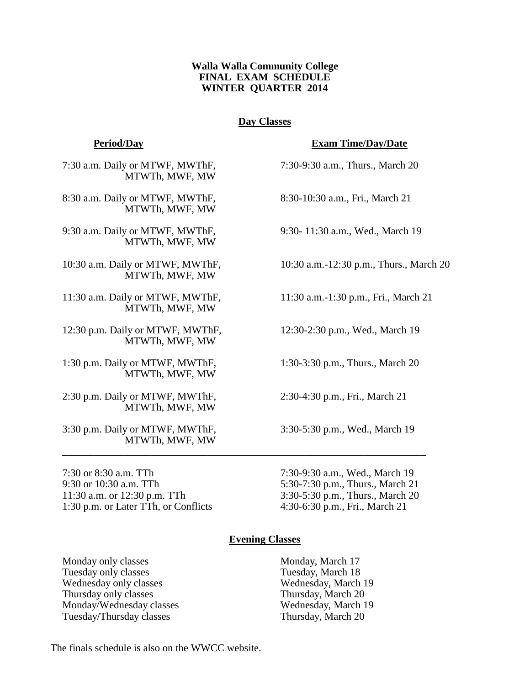# **Walla Walla Community College FINAL EXAM SCHEDULE WINTER QUARTER 2014**

# **Day Classes**

7:30 a.m. Daily or MTWF, MWThF, 7:30-9:30 a.m., Thurs., March 20 MTWTh, MWF, MW

8:30 a.m. Daily or MTWF, MWThF, 8:30-10:30 a.m., Fri., March 21 MTWTh, MWF, MW

9:30 a.m. Daily or MTWF, MWThF, 9:30- 11:30 a.m., Wed., March 19 MTWTh, MWF, MW

MTWTh, MWF, MW

11:30 a.m. Daily or MTWF, MWThF, 11:30 a.m.-1:30 p.m., Fri., March 21 MTWTh, MWF, MW

12:30 p.m. Daily or MTWF, MWThF, 12:30-2:30 p.m., Wed., March 19 MTWTh, MWF, MW

1:30 p.m. Daily or MTWF, MWThF, 1:30-3:30 p.m., Thurs., March 20 MTWTh, MWF, MW

2:30 p.m. Daily or MTWF, MWThF, 2:30-4:30 p.m., Fri., March 21 MTWTh, MWF, MW

3:30 p.m. Daily or MTWF, MWThF, 3:30-5:30 p.m., Wed., March 19 MTWTh, MWF, MW

7:30 or 8:30 a.m. TTh 7:30-9:30 a.m., Wed., March 19 9:30 or 10:30 a.m. TTh 5:30-7:30 p.m., Thurs., March 21 11:30 a.m. or 12:30 p.m. TTh 3:30-5:30 p.m., Thurs., March 20 1:30 p.m. or Later TTh, or Conflicts 4:30-6:30 p.m., Fri., March 21

**Period/Day Exam Time/Day/Date**

10:30 a.m. Daily or MTWF, MWThF, 10:30 a.m.-12:30 p.m., Thurs., March 20

# **Evening Classes**

\_\_\_\_\_\_\_\_\_\_\_\_\_\_\_\_\_\_\_\_\_\_\_\_\_\_\_\_\_\_\_\_\_\_\_\_\_\_\_\_\_\_\_\_\_\_\_\_\_\_\_\_\_\_\_\_\_\_\_\_\_\_\_\_\_\_\_\_\_\_

Monday only classes Monday, March 17 Tuesday only classes Tuesday, March 18 Wednesday only classes Wednesday, March 19 Thursday only classes Thursday, March 20 Monday/Wednesday classes Wednesday, March 19 Tuesday/Thursday classes Thursday, March 20

The finals schedule is also on the WWCC website.